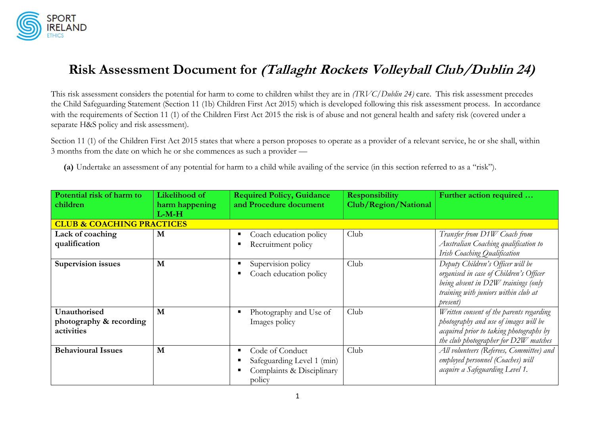

## **Risk Assessment Document for (Tallaght Rockets Volleyball Club/Dublin 24)**

This risk assessment considers the potential for harm to come to children whilst they are in *(TRVC/Dublin 24)* care. This risk assessment precedes the Child Safeguarding Statement (Section 11 (1b) Children First Act 2015) which is developed following this risk assessment process. In accordance with the requirements of Section 11 (1) of the Children First Act 2015 the risk is of abuse and not general health and safety risk (covered under a separate H&S policy and risk assessment).

Section 11 (1) of the Children First Act 2015 states that where a person proposes to operate as a provider of a relevant service, he or she shall, within 3 months from the date on which he or she commences as such a provider —

**(a)** Undertake an assessment of any potential for harm to a child while availing of the service (in this section referred to as a "risk").

| Potential risk of harm to<br>children                 | Likelihood of<br>harm happening | <b>Required Policy, Guidance</b><br>and Procedure document                           | <b>Responsibility</b><br>Club/Region/National | Further action required                                                                                                                                                 |
|-------------------------------------------------------|---------------------------------|--------------------------------------------------------------------------------------|-----------------------------------------------|-------------------------------------------------------------------------------------------------------------------------------------------------------------------------|
| <b>CLUB &amp; COACHING PRACTICES</b>                  | $L-M-H$                         |                                                                                      |                                               |                                                                                                                                                                         |
| Lack of coaching<br>qualification                     | M                               | Coach education policy<br>Recruitment policy                                         | Club                                          | Transfer from D1W Coach from<br>Australian Coaching qualification to<br>Irish Coaching Qualification                                                                    |
| <b>Supervision issues</b>                             | M                               | Supervision policy<br>Coach education policy                                         | Club                                          | Deputy Children's Officer will be<br>organised in case of Children's Officer<br>being absent in D2W trainings (only<br>training with juniors within club at<br>present) |
| Unauthorised<br>photography & recording<br>activities | M                               | Photography and Use of<br>Images policy                                              | Club                                          | Written consent of the parents regarding<br>photography and use of images will be<br>acquired prior to taking photographs by<br>the club photographer for D2W matches   |
| <b>Behavioural Issues</b>                             | M                               | Code of Conduct<br>Safeguarding Level 1 (min)<br>Complaints & Disciplinary<br>policy | Club                                          | All volunteers (Referees, Committee) and<br>employed personnel (Coaches) will<br>acquire a Safeguarding Level 1.                                                        |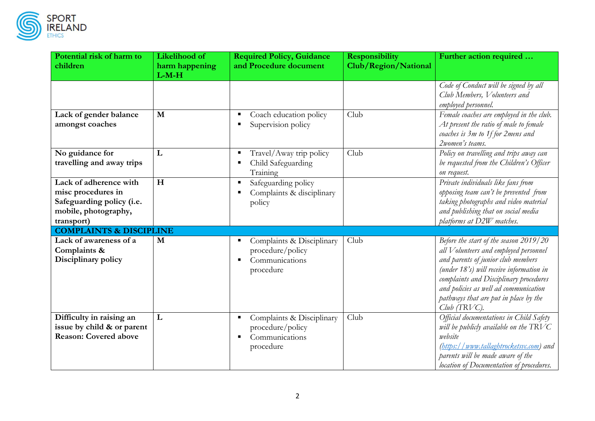

| Potential risk of harm to<br>children                                                                                                                 | Likelihood of<br>harm happening<br>$L-M-H$ | <b>Required Policy, Guidance</b><br>and Procedure document                   | <b>Responsibility</b><br>Club/Region/National | Further action required                                                                                                                                                                                                                                                                                         |
|-------------------------------------------------------------------------------------------------------------------------------------------------------|--------------------------------------------|------------------------------------------------------------------------------|-----------------------------------------------|-----------------------------------------------------------------------------------------------------------------------------------------------------------------------------------------------------------------------------------------------------------------------------------------------------------------|
|                                                                                                                                                       |                                            |                                                                              |                                               | Code of Conduct will be signed by all<br>Club Members, Volunteers and<br>employed personnel.                                                                                                                                                                                                                    |
| Lack of gender balance<br>amongst coaches                                                                                                             | $\mathbf{M}$                               | Coach education policy<br>Supervision policy                                 | Club                                          | Female coaches are employed in the club.<br>At present the ratio of male to female<br>coaches is 3m to 1f for 2mens and<br>2women's teams.                                                                                                                                                                      |
| No guidance for<br>travelling and away trips                                                                                                          | L                                          | Travel/Away trip policy<br>Child Safeguarding<br>Training                    | Club                                          | Policy on travelling and trips away can<br>be requested from the Children's Officer<br>on request.                                                                                                                                                                                                              |
| Lack of adherence with<br>misc procedures in<br>Safeguarding policy (i.e.<br>mobile, photography,<br>transport)<br><b>COMPLAINTS &amp; DISCIPLINE</b> | H                                          | Safeguarding policy<br>Complaints & disciplinary<br>policy                   |                                               | Private individuals like fans from<br>opposing team can't be prevented from<br>taking photographs and video material<br>and publishing that on social media<br>platforms at D2W matches.                                                                                                                        |
| Lack of awareness of a<br>Complaints &<br>Disciplinary policy                                                                                         | M                                          | Complaints & Disciplinary<br>procedure/policy<br>Communications<br>procedure | Club                                          | Before the start of the season 2019/20<br>all Volunteers and employed personnel<br>and parents of junior club members<br>(under 18's) will receive information in<br>complaints and Disciplinary procedures<br>and policies as well ad communication<br>pathways that are put in place by the<br>$Club$ (TRVC). |
| Difficulty in raising an<br>issue by child & or parent<br><b>Reason: Covered above</b>                                                                | L                                          | Complaints & Disciplinary<br>procedure/policy<br>Communications<br>procedure | Club                                          | Official documentations in Child Safety<br>will be publicly available on the $\text{TRVC}$<br>website<br>(https://www.tallaghtrocketsvc.com) and<br>parents will be made aware of the<br>location of Documentation of procedures.                                                                               |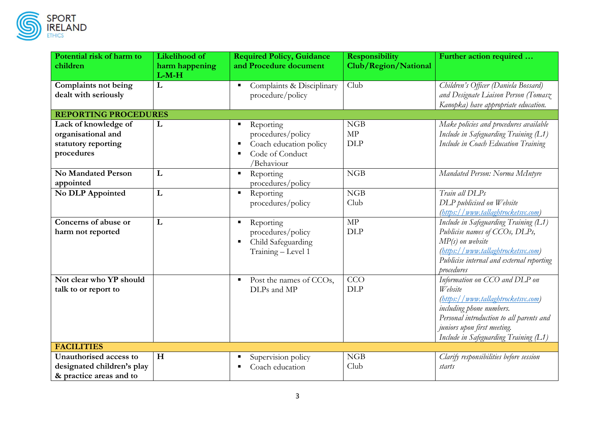

| RI |     |  |
|----|-----|--|
|    | AND |  |

| Potential risk of harm to   | Likelihood of  | <b>Required Policy, Guidance</b> | <b>Responsibility</b> | Further action required                   |  |
|-----------------------------|----------------|----------------------------------|-----------------------|-------------------------------------------|--|
| children                    | harm happening | and Procedure document           | Club/Region/National  |                                           |  |
|                             | $L-M-H$        |                                  |                       |                                           |  |
| <b>Complaints not being</b> | L              | Complaints & Disciplinary        | Club                  | Children's Officer (Daniela Bossard)      |  |
| dealt with seriously        |                | procedure/policy                 |                       | and Designate Liaison Person (Tomasz      |  |
|                             |                |                                  |                       | Kanopka) have appropriate education.      |  |
| <b>REPORTING PROCEDURES</b> |                |                                  |                       |                                           |  |
| Lack of knowledge of        | L              | Reporting                        | NGB                   | Make policies and procedures available    |  |
| organisational and          |                | procedures/policy                | MP                    | Include in Safeguarding Training (L1)     |  |
| statutory reporting         |                | Coach education policy           | <b>DLP</b>            | Include in Coach Education Training       |  |
| procedures                  |                | Code of Conduct                  |                       |                                           |  |
|                             |                | /Behaviour                       |                       |                                           |  |
| <b>No Mandated Person</b>   | L              | Reporting<br>$\blacksquare$      | NGB                   | Mandated Person: Norma McIntyre           |  |
| appointed                   |                | procedures/policy                |                       |                                           |  |
| No DLP Appointed            | ${\bf L}$      | Reporting                        | NGB                   | Train all DLPs                            |  |
|                             |                | procedures/policy                | Club                  | DLP publicised on Website                 |  |
|                             |                |                                  |                       | (https://www.tallaghtrocketsvc.com)       |  |
| Concerns of abuse or        | L              | Reporting<br>п                   | MP                    | Include in Safeguarding Training (L1)     |  |
| harm not reported           |                | procedures/policy                | <b>DLP</b>            | Publicise names of CCOs, DLPs,            |  |
|                             |                | Child Safeguarding               |                       | $MP(s)$ on website                        |  |
|                             |                | Training - Level 1               |                       | (https://www.tallaghtrocketsvc.com)       |  |
|                             |                |                                  |                       | Publicise internal and external reporting |  |
|                             |                |                                  |                       | procedures                                |  |
| Not clear who YP should     |                | Post the names of CCOs,<br>٠     | CCO                   | Information on CCO and DLP on             |  |
| talk to or report to        |                | DLPs and MP                      | <b>DLP</b>            | Website                                   |  |
|                             |                |                                  |                       | (https://www.tallaghtrocketsvc.com)       |  |
|                             |                |                                  |                       | including phone numbers.                  |  |
|                             |                |                                  |                       | Personal introduction to all parents and  |  |
|                             |                |                                  |                       | juniors upon first meeting.               |  |
|                             |                |                                  |                       | Include in Safeguarding Training (L1)     |  |
| <b>FACILITIES</b>           |                |                                  |                       |                                           |  |
| Unauthorised access to      | H              | Supervision policy               | NGB                   | Clarify responsibilities before session   |  |
| designated children's play  |                | Coach education                  | Club                  | starts                                    |  |
| & practice areas and to     |                |                                  |                       |                                           |  |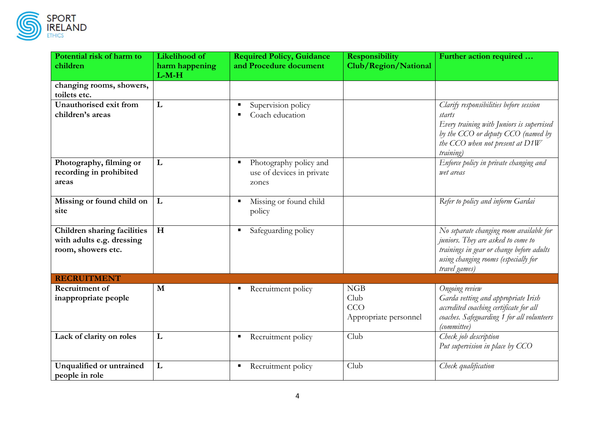

| Potential risk of harm to                                       | Likelihood of  | <b>Required Policy, Guidance</b> | <b>Responsibility</b> | Further action required                                                       |
|-----------------------------------------------------------------|----------------|----------------------------------|-----------------------|-------------------------------------------------------------------------------|
| children                                                        | harm happening | and Procedure document           | Club/Region/National  |                                                                               |
| changing rooms, showers,                                        | $L-M-H$        |                                  |                       |                                                                               |
| toilets etc.                                                    |                |                                  |                       |                                                                               |
| Unauthorised exit from                                          | L              | Supervision policy               |                       | Clarify responsibilities before session                                       |
| children's areas                                                |                | Coach education                  |                       | starts                                                                        |
|                                                                 |                |                                  |                       | Every training with Juniors is supervised                                     |
|                                                                 |                |                                  |                       | by the CCO or deputy CCO (named by                                            |
|                                                                 |                |                                  |                       | the CCO when not present at D1W                                               |
| Photography, filming or                                         | L              | Photography policy and           |                       | training)<br>Enforce policy in private changing and                           |
| recording in prohibited                                         |                | use of devices in private        |                       | wet areas                                                                     |
| areas                                                           |                | zones                            |                       |                                                                               |
|                                                                 |                |                                  |                       |                                                                               |
| Missing or found child on                                       | L              | Missing or found child<br>в      |                       | Refer to policy and inform Gardai                                             |
| site                                                            |                | policy                           |                       |                                                                               |
|                                                                 |                |                                  |                       |                                                                               |
| <b>Children sharing facilities</b><br>with adults e.g. dressing | H              | Safeguarding policy<br>п         |                       | No separate changing room available for<br>juniors. They are asked to come to |
| room, showers etc.                                              |                |                                  |                       | trainings in gear or change before adults                                     |
|                                                                 |                |                                  |                       | using changing rooms (especially for                                          |
|                                                                 |                |                                  |                       | travel games)                                                                 |
| <b>RECRUITMENT</b>                                              |                |                                  |                       |                                                                               |
| Recruitment of                                                  | M              | Recruitment policy<br>п          | NGB                   | Ongoing review                                                                |
| inappropriate people                                            |                |                                  | Club                  | Garda vetting and appropriate Irish                                           |
|                                                                 |                |                                  | CCO                   | accredited coaching certificate for all                                       |
|                                                                 |                |                                  | Appropriate personnel | coaches. Safeguarding 1 for all volunteers<br>(committee)                     |
| Lack of clarity on roles                                        | L              | Recruitment policy<br>п          | Club                  | Check job description                                                         |
|                                                                 |                |                                  |                       | Put supervision in place by CCO                                               |
|                                                                 |                |                                  |                       |                                                                               |
| Unqualified or untrained                                        | L              | Recruitment policy<br>п          | Club                  | Check qualification                                                           |
| people in role                                                  |                |                                  |                       |                                                                               |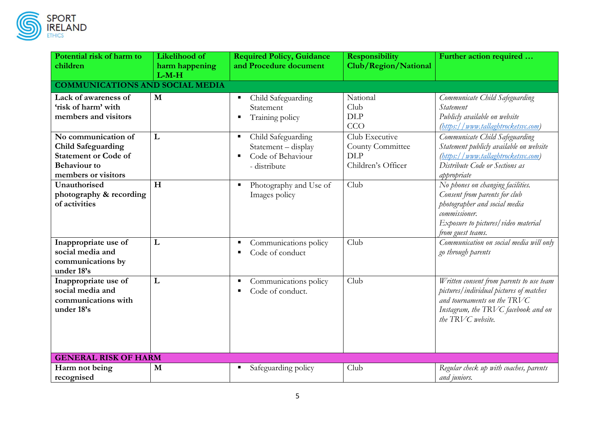

| Potential risk of harm to<br>children                                                                                         | Likelihood of<br>harm happening<br>$L-M-H$ | <b>Required Policy, Guidance</b><br>and Procedure document                                                         | <b>Responsibility</b><br>Club/Region/National                          | Further action required                                                                                                                                                          |  |  |  |
|-------------------------------------------------------------------------------------------------------------------------------|--------------------------------------------|--------------------------------------------------------------------------------------------------------------------|------------------------------------------------------------------------|----------------------------------------------------------------------------------------------------------------------------------------------------------------------------------|--|--|--|
|                                                                                                                               | <b>COMMUNICATIONS AND SOCIAL MEDIA</b>     |                                                                                                                    |                                                                        |                                                                                                                                                                                  |  |  |  |
| Lack of awareness of<br>'risk of harm' with<br>members and visitors                                                           | M                                          | Child Safeguarding<br>Statement<br>Training policy                                                                 | National<br>Club<br><b>DLP</b><br>CCO                                  | Communicate Child Safeguarding<br>Statement<br>Publicly available on website<br>(https://www.tallaghtrocketsvc.com)                                                              |  |  |  |
| No communication of<br><b>Child Safeguarding</b><br><b>Statement or Code of</b><br><b>Behaviour</b> to<br>members or visitors | L                                          | Child Safeguarding<br>$\blacksquare$<br>Statement - display<br>Code of Behaviour<br>$\blacksquare$<br>- distribute | Club Executive<br>County Committee<br><b>DLP</b><br>Children's Officer | Communicate Child Safeguarding<br>Statement publicly available on website<br>(https://www.tallaghtrocketsvc.com)<br>Distribute Code or Sections as<br>appropriate                |  |  |  |
| Unauthorised<br>photography & recording<br>of activities                                                                      | H                                          | Photography and Use of<br>Images policy                                                                            | Club                                                                   | No phones on changing facilities.<br>Consent from parents for club<br>photographer and social media<br>commissioner.<br>Exposure to pictures/video material<br>from guest teams. |  |  |  |
| Inappropriate use of<br>social media and<br>communications by<br>under 18's                                                   | L                                          | Communications policy<br>Code of conduct                                                                           | Club                                                                   | Communication on social media will only<br>go through parents                                                                                                                    |  |  |  |
| Inappropriate use of<br>social media and<br>communications with<br>under 18's                                                 | L                                          | Communications policy<br>Code of conduct.                                                                          | Club                                                                   | Written consent from parents to use team<br>pictures/individual pictures of matches<br>and tournaments on the TRVC<br>Instagram, the TRVC facebook and on<br>the TRVC website.   |  |  |  |
| <b>GENERAL RISK OF HARM</b>                                                                                                   |                                            |                                                                                                                    |                                                                        |                                                                                                                                                                                  |  |  |  |
| Harm not being<br>recognised                                                                                                  | M                                          | Safeguarding policy                                                                                                | Club                                                                   | Regular check up with coaches, parents<br>and juniors.                                                                                                                           |  |  |  |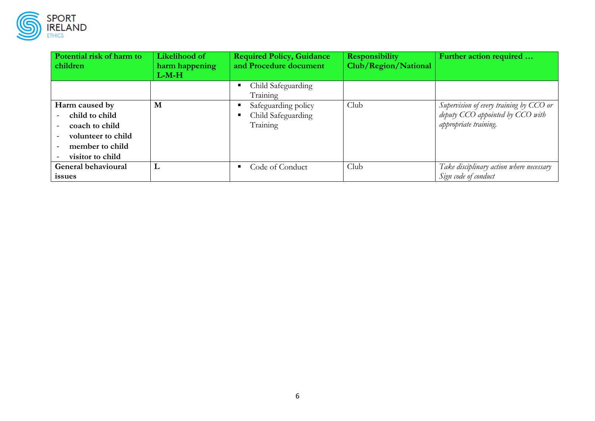

| ĸ۱ |     |
|----|-----|
|    | AND |

| Potential risk of harm to<br>children                                                                           | Likelihood of<br>harm happening<br>$L-M-H$ | <b>Required Policy, Guidance</b><br>and Procedure document      | <b>Responsibility</b><br>Club/Region/National | Further action required                                                                              |
|-----------------------------------------------------------------------------------------------------------------|--------------------------------------------|-----------------------------------------------------------------|-----------------------------------------------|------------------------------------------------------------------------------------------------------|
|                                                                                                                 |                                            | Child Safeguarding<br>Training                                  |                                               |                                                                                                      |
| Harm caused by<br>child to child<br>coach to child<br>volunteer to child<br>member to child<br>visitor to child | M                                          | Safeguarding policy<br>п<br>Child Safeguarding<br>п<br>Training | Club                                          | Supervision of every training by CCO or<br>deputy CCO appointed by CCO with<br>appropriate training. |
| General behavioural<br><i>issues</i>                                                                            | L                                          | Code of Conduct<br>п                                            | Club                                          | Take disciplinary action where necessary<br>Sign code of conduct                                     |